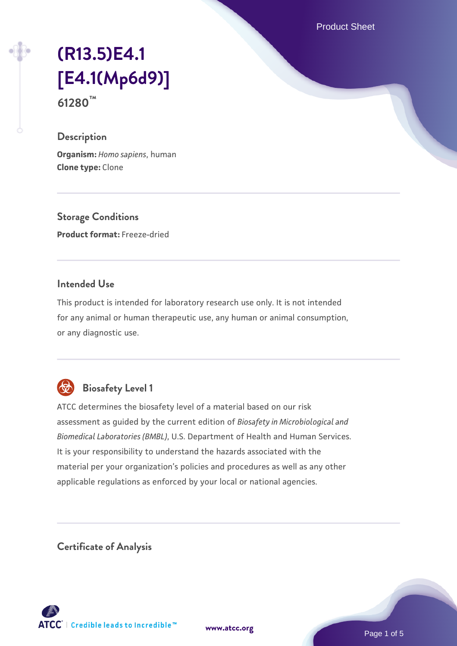Product Sheet

# **[\(R13.5\)E4.1](https://www.atcc.org/products/61280) [\[E4.1\(Mp6d9\)\]](https://www.atcc.org/products/61280) 61280™**

#### **Description**

**Organism:** *Homo sapiens*, human **Clone type:** Clone

**Storage Conditions Product format:** Freeze-dried

### **Intended Use**

This product is intended for laboratory research use only. It is not intended for any animal or human therapeutic use, any human or animal consumption, or any diagnostic use.



# **Biosafety Level 1**

ATCC determines the biosafety level of a material based on our risk assessment as guided by the current edition of *Biosafety in Microbiological and Biomedical Laboratories (BMBL)*, U.S. Department of Health and Human Services. It is your responsibility to understand the hazards associated with the material per your organization's policies and procedures as well as any other applicable regulations as enforced by your local or national agencies.

**Certificate of Analysis**

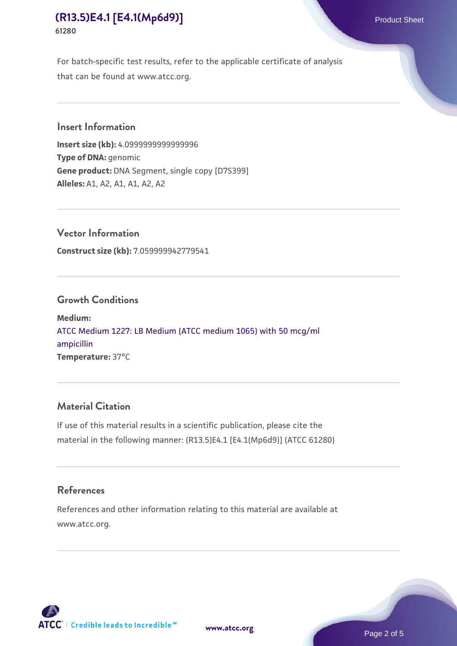# **[\(R13.5\)E4.1 \[E4.1\(Mp6d9\)\]](https://www.atcc.org/products/61280)** Product Sheet **61280**

For batch-specific test results, refer to the applicable certificate of analysis that can be found at www.atcc.org.

#### **Insert Information**

**Insert size (kb):** 4.0999999999999996 **Type of DNA:** genomic **Gene product:** DNA Segment, single copy [D7S399] **Alleles:** A1, A2, A1, A1, A2, A2

**Vector Information Construct size (kb):** 7.059999942779541

### **Growth Conditions**

**Medium:**  [ATCC Medium 1227: LB Medium \(ATCC medium 1065\) with 50 mcg/ml](https://www.atcc.org/-/media/product-assets/documents/microbial-media-formulations/1/2/2/7/atcc-medium-1227.pdf?rev=581c98603b3e4b29a6d62ee0ba9ca578) [ampicillin](https://www.atcc.org/-/media/product-assets/documents/microbial-media-formulations/1/2/2/7/atcc-medium-1227.pdf?rev=581c98603b3e4b29a6d62ee0ba9ca578) **Temperature:** 37°C

## **Material Citation**

If use of this material results in a scientific publication, please cite the material in the following manner: (R13.5)E4.1 [E4.1(Mp6d9)] (ATCC 61280)

#### **References**

References and other information relating to this material are available at www.atcc.org.



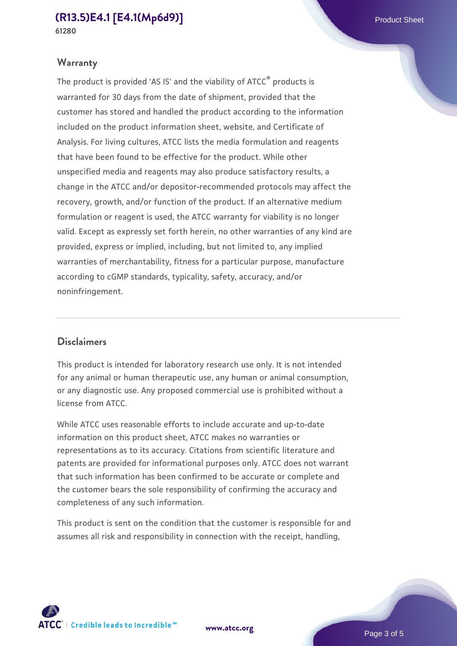#### **[\(R13.5\)E4.1 \[E4.1\(Mp6d9\)\]](https://www.atcc.org/products/61280)** Product Sheet **61280**

## **Warranty**

The product is provided 'AS IS' and the viability of ATCC® products is warranted for 30 days from the date of shipment, provided that the customer has stored and handled the product according to the information included on the product information sheet, website, and Certificate of Analysis. For living cultures, ATCC lists the media formulation and reagents that have been found to be effective for the product. While other unspecified media and reagents may also produce satisfactory results, a change in the ATCC and/or depositor-recommended protocols may affect the recovery, growth, and/or function of the product. If an alternative medium formulation or reagent is used, the ATCC warranty for viability is no longer valid. Except as expressly set forth herein, no other warranties of any kind are provided, express or implied, including, but not limited to, any implied warranties of merchantability, fitness for a particular purpose, manufacture according to cGMP standards, typicality, safety, accuracy, and/or noninfringement.

#### **Disclaimers**

This product is intended for laboratory research use only. It is not intended for any animal or human therapeutic use, any human or animal consumption, or any diagnostic use. Any proposed commercial use is prohibited without a license from ATCC.

While ATCC uses reasonable efforts to include accurate and up-to-date information on this product sheet, ATCC makes no warranties or representations as to its accuracy. Citations from scientific literature and patents are provided for informational purposes only. ATCC does not warrant that such information has been confirmed to be accurate or complete and the customer bears the sole responsibility of confirming the accuracy and completeness of any such information.

This product is sent on the condition that the customer is responsible for and assumes all risk and responsibility in connection with the receipt, handling,



**[www.atcc.org](http://www.atcc.org)**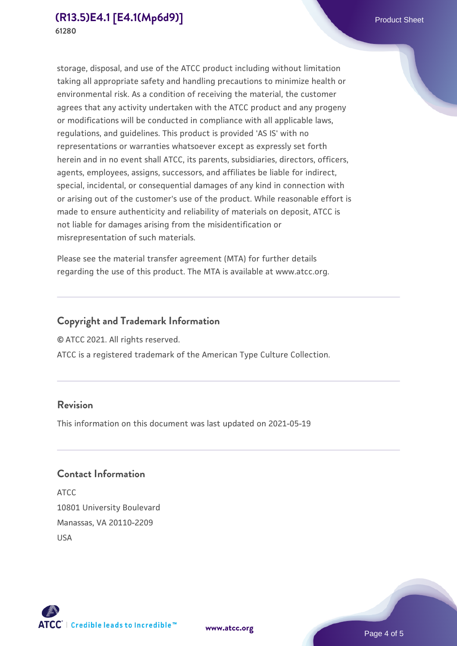storage, disposal, and use of the ATCC product including without limitation taking all appropriate safety and handling precautions to minimize health or environmental risk. As a condition of receiving the material, the customer agrees that any activity undertaken with the ATCC product and any progeny or modifications will be conducted in compliance with all applicable laws, regulations, and guidelines. This product is provided 'AS IS' with no representations or warranties whatsoever except as expressly set forth herein and in no event shall ATCC, its parents, subsidiaries, directors, officers, agents, employees, assigns, successors, and affiliates be liable for indirect, special, incidental, or consequential damages of any kind in connection with or arising out of the customer's use of the product. While reasonable effort is made to ensure authenticity and reliability of materials on deposit, ATCC is not liable for damages arising from the misidentification or misrepresentation of such materials.

Please see the material transfer agreement (MTA) for further details regarding the use of this product. The MTA is available at www.atcc.org.

## **Copyright and Trademark Information**

© ATCC 2021. All rights reserved.

ATCC is a registered trademark of the American Type Culture Collection.

### **Revision**

This information on this document was last updated on 2021-05-19

## **Contact Information**

ATCC 10801 University Boulevard Manassas, VA 20110-2209 USA